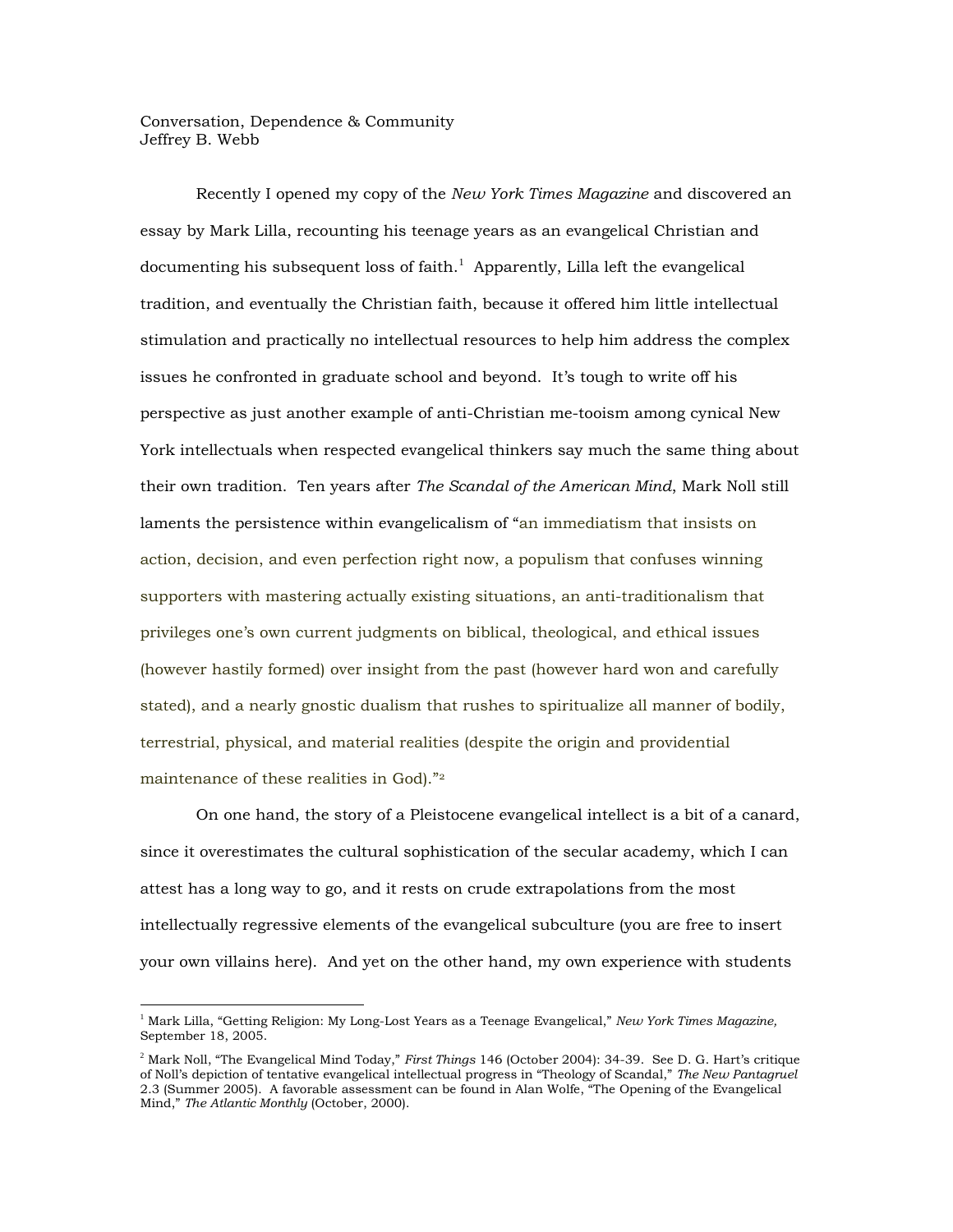Conversation, Dependence & Community Jeffrey B. Webb

Recently I opened my copy of the *New York Times Magazine* and discovered an essay by Mark Lilla, recounting his teenage years as an evangelical Christian and documenting his subsequent loss of faith.<sup>1</sup> Apparently, Lilla left the evangelical tradition, and eventually the Christian faith, because it offered him little intellectual stimulation and practically no intellectual resources to help him address the complex issues he confronted in graduate school and beyond. It's tough to write off his perspective as just another example of anti-Christian me-tooism among cynical New York intellectuals when respected evangelical thinkers say much the same thing about their own tradition. Ten years after *The Scandal of the American Mind*, Mark Noll still laments the persistence within evangelicalism of "an immediatism that insists on action, decision, and even perfection right now, a populism that confuses winning supporters with mastering actually existing situations, an anti-traditionalism that privileges one's own current judgments on biblical, theological, and ethical issues (however hastily formed) over insight from the past (however hard won and carefully stated), and a nearly gnostic dualism that rushes to spiritualize all manner of bodily, terrestrial, physical, and material realities (despite the origin and providential maintenance of these realities in God)."<sup>2</sup>

On one hand, the story of a Pleistocene evangelical intellect is a bit of a canard, since it overestimates the cultural sophistication of the secular academy, which I can attest has a long way to go, and it rests on crude extrapolations from the most intellectually regressive elements of the evangelical subculture (you are free to insert your own villains here). And yet on the other hand, my own experience with students

<sup>1</sup> Mark Lilla, "Getting Religion: My Long-Lost Years as a Teenage Evangelical," *New York Times Magazine,* September 18, 2005.

<sup>2</sup> Mark Noll, "The Evangelical Mind Today," *First Things* 146 (October 2004): 34-39. See D. G. Hart's critique of Noll's depiction of tentative evangelical intellectual progress in "Theology of Scandal," *The New Pantagruel* 2.3 (Summer 2005). A favorable assessment can be found in Alan Wolfe, "The Opening of the Evangelical Mind," *The Atlantic Monthly* (October, 2000).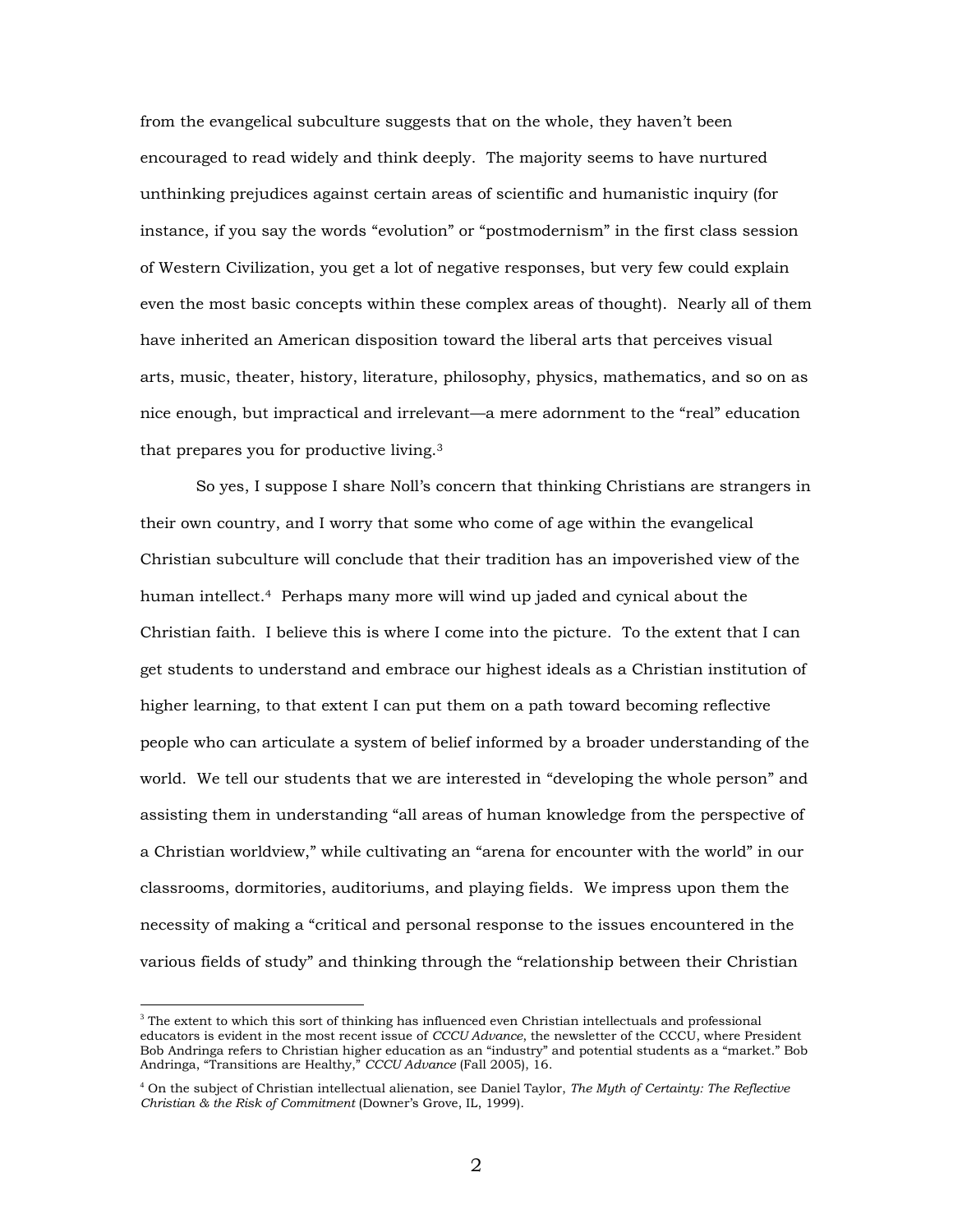from the evangelical subculture suggests that on the whole, they haven't been encouraged to read widely and think deeply. The majority seems to have nurtured unthinking prejudices against certain areas of scientific and humanistic inquiry (for instance, if you say the words "evolution" or "postmodernism" in the first class session of Western Civilization, you get a lot of negative responses, but very few could explain even the most basic concepts within these complex areas of thought). Nearly all of them have inherited an American disposition toward the liberal arts that perceives visual arts, music, theater, history, literature, philosophy, physics, mathematics, and so on as nice enough, but impractical and irrelevant—a mere adornment to the "real" education that prepares you for productive living.<sup>3</sup>

So yes, I suppose I share Noll's concern that thinking Christians are strangers in their own country, and I worry that some who come of age within the evangelical Christian subculture will conclude that their tradition has an impoverished view of the human intellect.4 Perhaps many more will wind up jaded and cynical about the Christian faith. I believe this is where I come into the picture. To the extent that I can get students to understand and embrace our highest ideals as a Christian institution of higher learning, to that extent I can put them on a path toward becoming reflective people who can articulate a system of belief informed by a broader understanding of the world. We tell our students that we are interested in "developing the whole person" and assisting them in understanding "all areas of human knowledge from the perspective of a Christian worldview," while cultivating an "arena for encounter with the world" in our classrooms, dormitories, auditoriums, and playing fields. We impress upon them the necessity of making a "critical and personal response to the issues encountered in the various fields of study" and thinking through the "relationship between their Christian

 $3$  The extent to which this sort of thinking has influenced even Christian intellectuals and professional educators is evident in the most recent issue of *CCCU Advance*, the newsletter of the CCCU, where President Bob Andringa refers to Christian higher education as an "industry" and potential students as a "market." Bob Andringa, "Transitions are Healthy," *CCCU Advance* (Fall 2005), 16.

<sup>4</sup> On the subject of Christian intellectual alienation, see Daniel Taylor, *The Myth of Certainty: The Reflective Christian & the Risk of Commitment* (Downer's Grove, IL, 1999).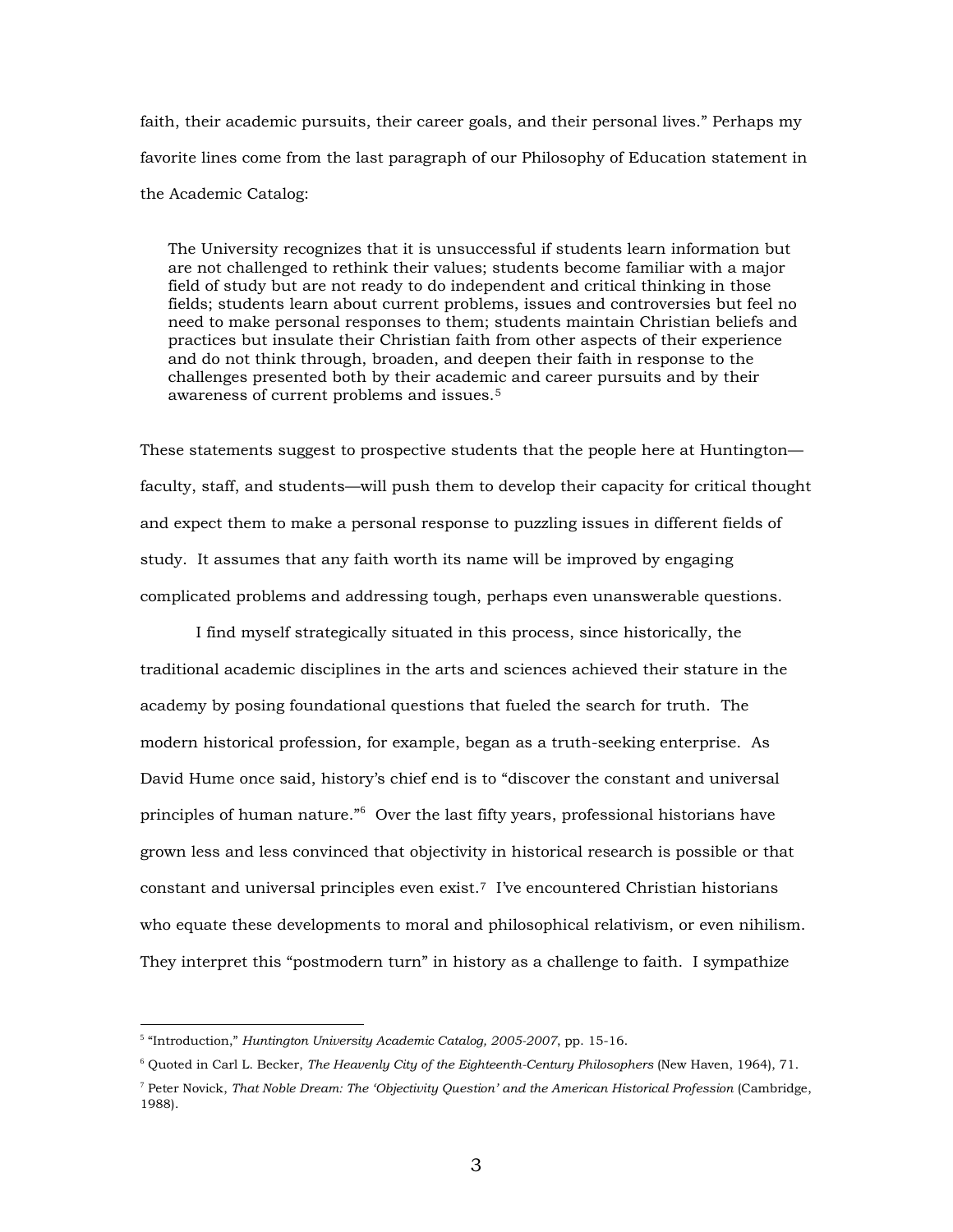faith, their academic pursuits, their career goals, and their personal lives." Perhaps my favorite lines come from the last paragraph of our Philosophy of Education statement in the Academic Catalog:

The University recognizes that it is unsuccessful if students learn information but are not challenged to rethink their values; students become familiar with a major field of study but are not ready to do independent and critical thinking in those fields; students learn about current problems, issues and controversies but feel no need to make personal responses to them; students maintain Christian beliefs and practices but insulate their Christian faith from other aspects of their experience and do not think through, broaden, and deepen their faith in response to the challenges presented both by their academic and career pursuits and by their awareness of current problems and issues.<sup>5</sup>

These statements suggest to prospective students that the people here at Huntington faculty, staff, and students—will push them to develop their capacity for critical thought and expect them to make a personal response to puzzling issues in different fields of study. It assumes that any faith worth its name will be improved by engaging complicated problems and addressing tough, perhaps even unanswerable questions.

I find myself strategically situated in this process, since historically, the traditional academic disciplines in the arts and sciences achieved their stature in the academy by posing foundational questions that fueled the search for truth. The modern historical profession, for example, began as a truth-seeking enterprise. As David Hume once said, history's chief end is to "discover the constant and universal principles of human nature."<sup>6</sup> Over the last fifty years, professional historians have grown less and less convinced that objectivity in historical research is possible or that constant and universal principles even exist.<sup>7</sup> I've encountered Christian historians who equate these developments to moral and philosophical relativism, or even nihilism. They interpret this "postmodern turn" in history as a challenge to faith. I sympathize

<sup>5</sup> "Introduction," *Huntington University Academic Catalog, 2005-2007*, pp. 15-16.

<sup>6</sup> Quoted in Carl L. Becker, *The Heavenly City of the Eighteenth-Century Philosophers* (New Haven, 1964), 71.

<sup>7</sup> Peter Novick, *That Noble Dream: The 'Objectivity Question' and the American Historical Profession* (Cambridge, 1988).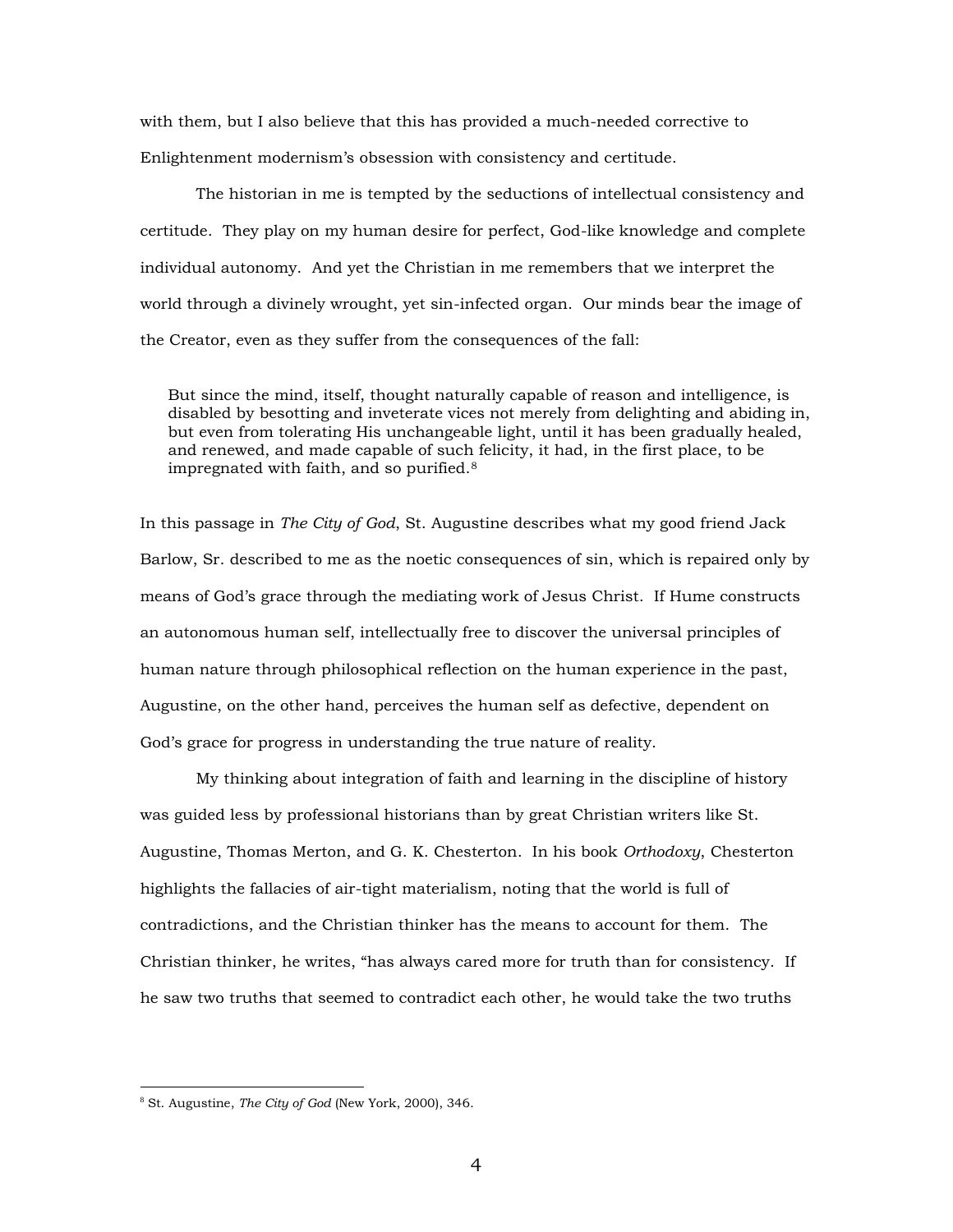with them, but I also believe that this has provided a much-needed corrective to Enlightenment modernism's obsession with consistency and certitude.

The historian in me is tempted by the seductions of intellectual consistency and certitude. They play on my human desire for perfect, God-like knowledge and complete individual autonomy. And yet the Christian in me remembers that we interpret the world through a divinely wrought, yet sin-infected organ. Our minds bear the image of the Creator, even as they suffer from the consequences of the fall:

But since the mind, itself, thought naturally capable of reason and intelligence, is disabled by besotting and inveterate vices not merely from delighting and abiding in, but even from tolerating His unchangeable light, until it has been gradually healed, and renewed, and made capable of such felicity, it had, in the first place, to be impregnated with faith, and so purified.<sup>8</sup>

In this passage in *The City of God*, St. Augustine describes what my good friend Jack Barlow, Sr. described to me as the noetic consequences of sin, which is repaired only by means of God's grace through the mediating work of Jesus Christ. If Hume constructs an autonomous human self, intellectually free to discover the universal principles of human nature through philosophical reflection on the human experience in the past, Augustine, on the other hand, perceives the human self as defective, dependent on God's grace for progress in understanding the true nature of reality.

My thinking about integration of faith and learning in the discipline of history was guided less by professional historians than by great Christian writers like St. Augustine, Thomas Merton, and G. K. Chesterton. In his book *Orthodoxy*, Chesterton highlights the fallacies of air-tight materialism, noting that the world is full of contradictions, and the Christian thinker has the means to account for them. The Christian thinker, he writes, "has always cared more for truth than for consistency. If he saw two truths that seemed to contradict each other, he would take the two truths

<sup>8</sup> St. Augustine, *The City of God* (New York, 2000), 346.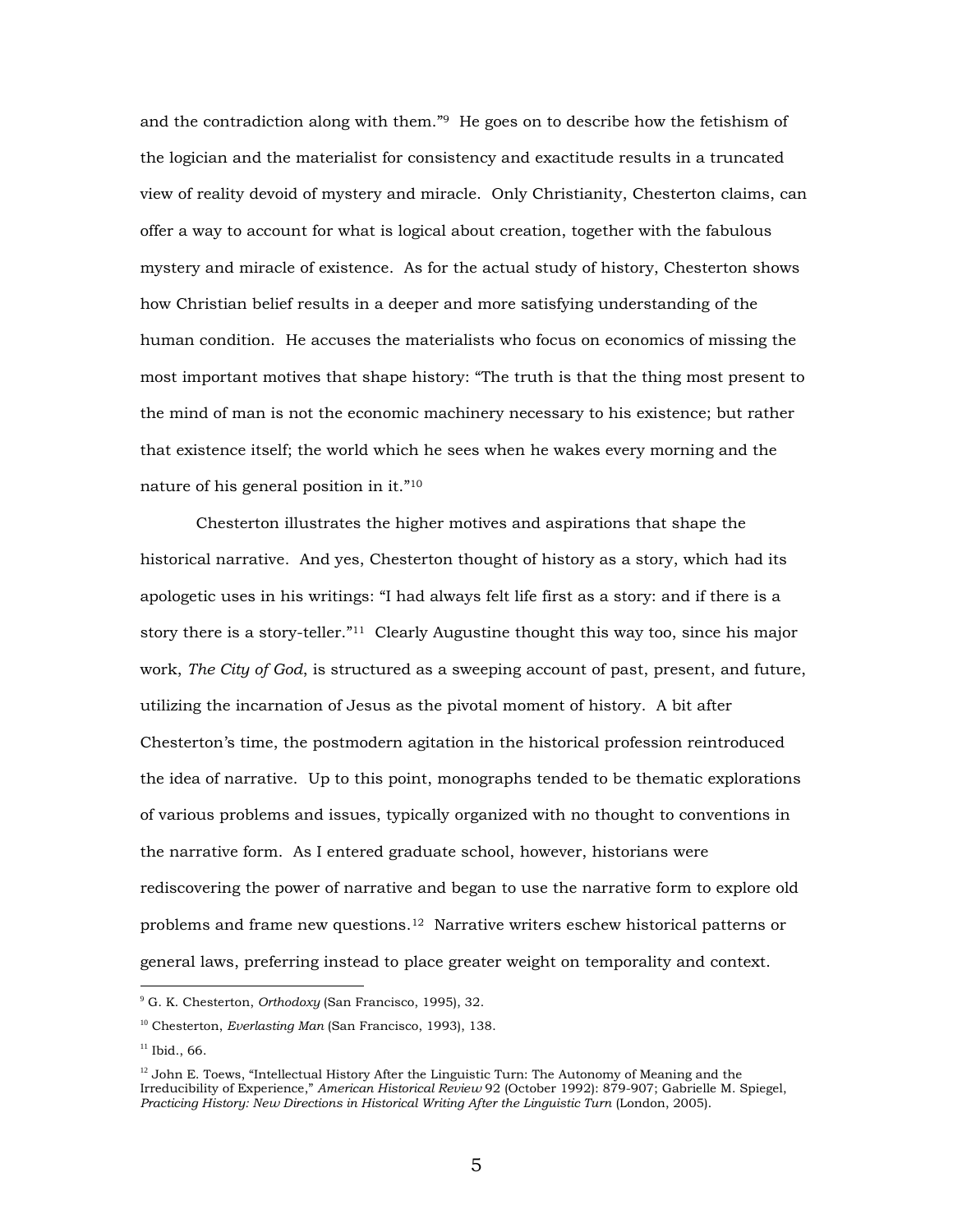and the contradiction along with them."9 He goes on to describe how the fetishism of the logician and the materialist for consistency and exactitude results in a truncated view of reality devoid of mystery and miracle. Only Christianity, Chesterton claims, can offer a way to account for what is logical about creation, together with the fabulous mystery and miracle of existence. As for the actual study of history, Chesterton shows how Christian belief results in a deeper and more satisfying understanding of the human condition. He accuses the materialists who focus on economics of missing the most important motives that shape history: "The truth is that the thing most present to the mind of man is not the economic machinery necessary to his existence; but rather that existence itself; the world which he sees when he wakes every morning and the nature of his general position in it."<sup>10</sup>

Chesterton illustrates the higher motives and aspirations that shape the historical narrative. And yes, Chesterton thought of history as a story, which had its apologetic uses in his writings: "I had always felt life first as a story: and if there is a story there is a story-teller."<sup>11</sup> Clearly Augustine thought this way too, since his major work, *The City of God*, is structured as a sweeping account of past, present, and future, utilizing the incarnation of Jesus as the pivotal moment of history. A bit after Chesterton's time, the postmodern agitation in the historical profession reintroduced the idea of narrative. Up to this point, monographs tended to be thematic explorations of various problems and issues, typically organized with no thought to conventions in the narrative form. As I entered graduate school, however, historians were rediscovering the power of narrative and began to use the narrative form to explore old problems and frame new questions.12 Narrative writers eschew historical patterns or general laws, preferring instead to place greater weight on temporality and context.

<sup>9</sup> G. K. Chesterton, *Orthodoxy* (San Francisco, 1995), 32.

<sup>10</sup> Chesterton, *Everlasting Man* (San Francisco, 1993), 138.

<sup>&</sup>lt;sup>11</sup> Ibid., 66.

 $12$  John E. Toews, "Intellectual History After the Linguistic Turn: The Autonomy of Meaning and the Irreducibility of Experience," *American Historical Review* 92 (October 1992): 879-907; Gabrielle M. Spiegel, *Practicing History: New Directions in Historical Writing After the Linguistic Turn* (London, 2005).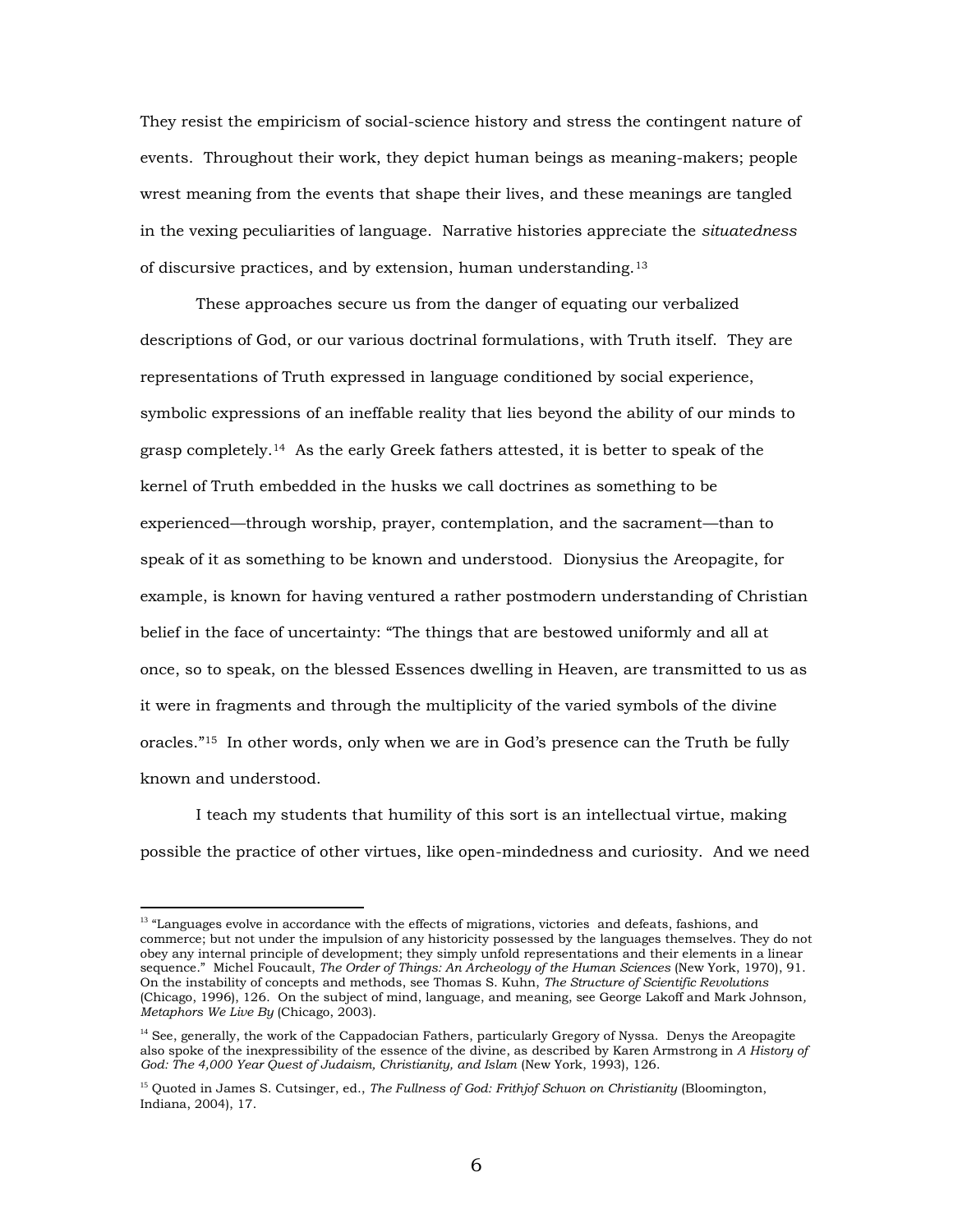They resist the empiricism of social-science history and stress the contingent nature of events. Throughout their work, they depict human beings as meaning-makers; people wrest meaning from the events that shape their lives, and these meanings are tangled in the vexing peculiarities of language. Narrative histories appreciate the *situatedness* of discursive practices, and by extension, human understanding.<sup>13</sup>

These approaches secure us from the danger of equating our verbalized descriptions of God, or our various doctrinal formulations, with Truth itself. They are representations of Truth expressed in language conditioned by social experience, symbolic expressions of an ineffable reality that lies beyond the ability of our minds to grasp completely.14 As the early Greek fathers attested, it is better to speak of the kernel of Truth embedded in the husks we call doctrines as something to be experienced—through worship, prayer, contemplation, and the sacrament—than to speak of it as something to be known and understood. Dionysius the Areopagite, for example, is known for having ventured a rather postmodern understanding of Christian belief in the face of uncertainty: "The things that are bestowed uniformly and all at once, so to speak, on the blessed Essences dwelling in Heaven, are transmitted to us as it were in fragments and through the multiplicity of the varied symbols of the divine oracles."<sup>15</sup> In other words, only when we are in God's presence can the Truth be fully known and understood.

I teach my students that humility of this sort is an intellectual virtue, making possible the practice of other virtues, like open-mindedness and curiosity. And we need

<sup>&</sup>lt;sup>13</sup> "Languages evolve in accordance with the effects of migrations, victories and defeats, fashions, and commerce; but not under the impulsion of any historicity possessed by the languages themselves. They do not obey any internal principle of development; they simply unfold representations and their elements in a linear sequence." Michel Foucault, *The Order of Things: An Archeology of the Human Sciences* (New York, 1970), 91. On the instability of concepts and methods, see Thomas S. Kuhn, *The Structure of Scientific Revolutions* (Chicago, 1996), 126. On the subject of mind, language, and meaning, see George Lakoff and Mark Johnson*, Metaphors We Live By* (Chicago, 2003).

 $14$  See, generally, the work of the Cappadocian Fathers, particularly Gregory of Nyssa. Denys the Areopagite also spoke of the inexpressibility of the essence of the divine, as described by Karen Armstrong in *A History of God: The 4,000 Year Quest of Judaism, Christianity, and Islam* (New York, 1993), 126.

<sup>15</sup> Quoted in James S. Cutsinger, ed., *The Fullness of God: Frithjof Schuon on Christianity* (Bloomington, Indiana, 2004), 17.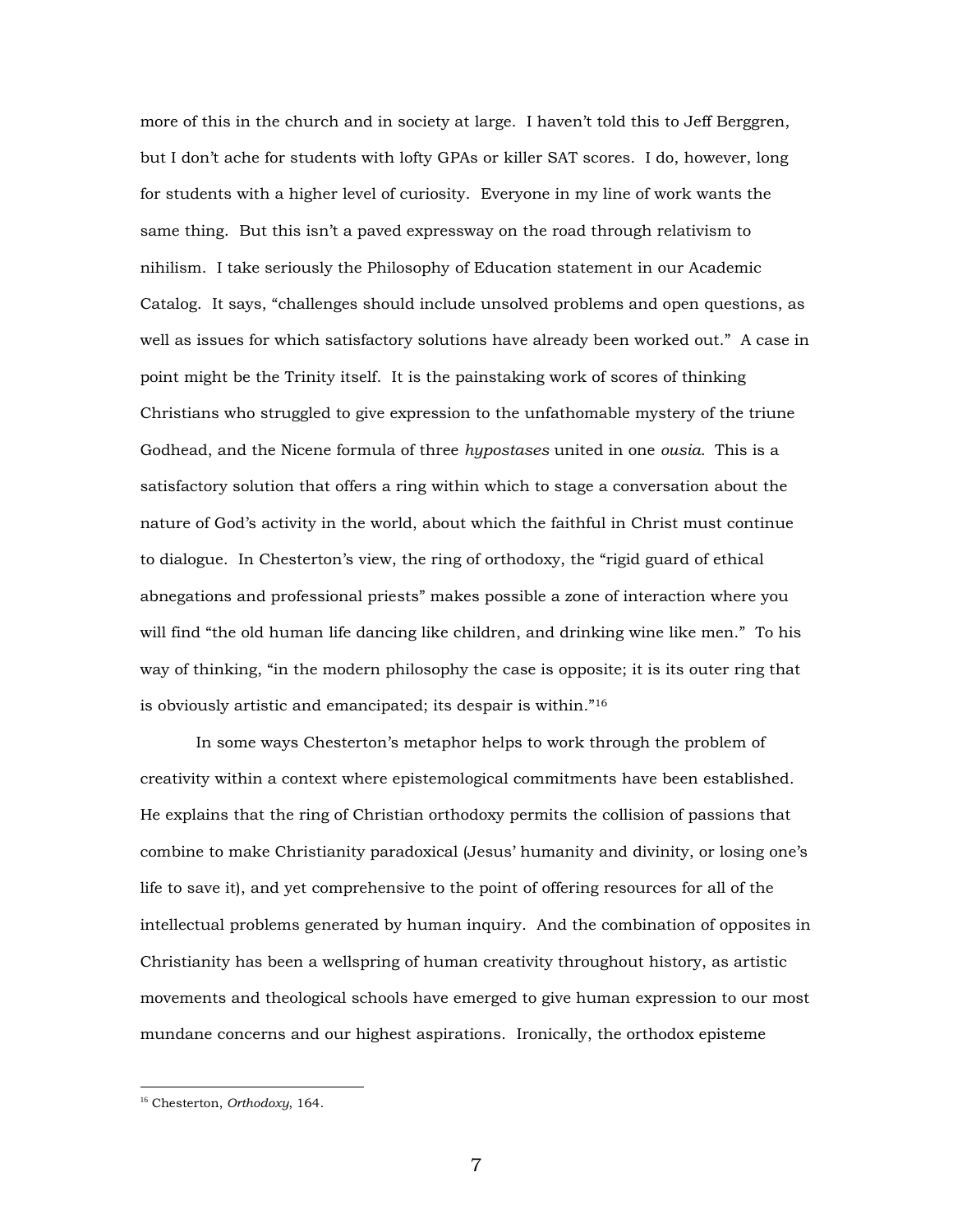more of this in the church and in society at large. I haven't told this to Jeff Berggren, but I don't ache for students with lofty GPAs or killer SAT scores. I do, however, long for students with a higher level of curiosity. Everyone in my line of work wants the same thing. But this isn't a paved expressway on the road through relativism to nihilism. I take seriously the Philosophy of Education statement in our Academic Catalog. It says, "challenges should include unsolved problems and open questions, as well as issues for which satisfactory solutions have already been worked out." A case in point might be the Trinity itself. It is the painstaking work of scores of thinking Christians who struggled to give expression to the unfathomable mystery of the triune Godhead, and the Nicene formula of three *hypostases* united in one *ousia.* This is a satisfactory solution that offers a ring within which to stage a conversation about the nature of God's activity in the world, about which the faithful in Christ must continue to dialogue. In Chesterton's view, the ring of orthodoxy, the "rigid guard of ethical abnegations and professional priests" makes possible a zone of interaction where you will find "the old human life dancing like children, and drinking wine like men." To his way of thinking, "in the modern philosophy the case is opposite; it is its outer ring that is obviously artistic and emancipated; its despair is within."<sup>16</sup>

In some ways Chesterton's metaphor helps to work through the problem of creativity within a context where epistemological commitments have been established. He explains that the ring of Christian orthodoxy permits the collision of passions that combine to make Christianity paradoxical (Jesus' humanity and divinity, or losing one's life to save it), and yet comprehensive to the point of offering resources for all of the intellectual problems generated by human inquiry. And the combination of opposites in Christianity has been a wellspring of human creativity throughout history, as artistic movements and theological schools have emerged to give human expression to our most mundane concerns and our highest aspirations. Ironically, the orthodox episteme

<sup>16</sup> Chesterton, *Orthodoxy*, 164.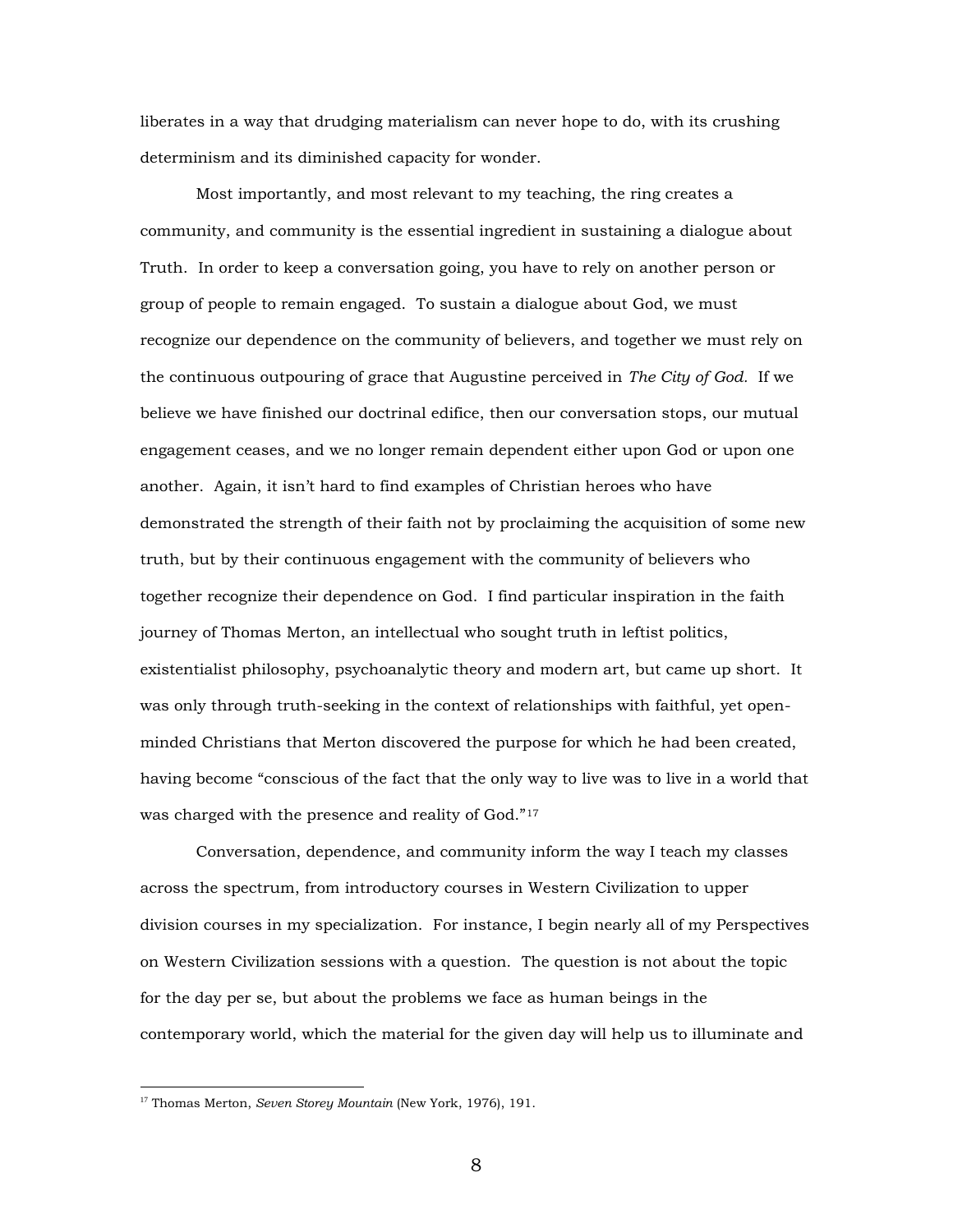liberates in a way that drudging materialism can never hope to do, with its crushing determinism and its diminished capacity for wonder.

Most importantly, and most relevant to my teaching, the ring creates a community, and community is the essential ingredient in sustaining a dialogue about Truth. In order to keep a conversation going, you have to rely on another person or group of people to remain engaged. To sustain a dialogue about God, we must recognize our dependence on the community of believers, and together we must rely on the continuous outpouring of grace that Augustine perceived in *The City of God.* If we believe we have finished our doctrinal edifice, then our conversation stops, our mutual engagement ceases, and we no longer remain dependent either upon God or upon one another. Again, it isn't hard to find examples of Christian heroes who have demonstrated the strength of their faith not by proclaiming the acquisition of some new truth, but by their continuous engagement with the community of believers who together recognize their dependence on God. I find particular inspiration in the faith journey of Thomas Merton, an intellectual who sought truth in leftist politics, existentialist philosophy, psychoanalytic theory and modern art, but came up short. It was only through truth-seeking in the context of relationships with faithful, yet openminded Christians that Merton discovered the purpose for which he had been created, having become "conscious of the fact that the only way to live was to live in a world that was charged with the presence and reality of God."<sup>17</sup>

Conversation, dependence, and community inform the way I teach my classes across the spectrum, from introductory courses in Western Civilization to upper division courses in my specialization. For instance, I begin nearly all of my Perspectives on Western Civilization sessions with a question. The question is not about the topic for the day per se, but about the problems we face as human beings in the contemporary world, which the material for the given day will help us to illuminate and

<sup>17</sup> Thomas Merton, *Seven Storey Mountain* (New York, 1976), 191.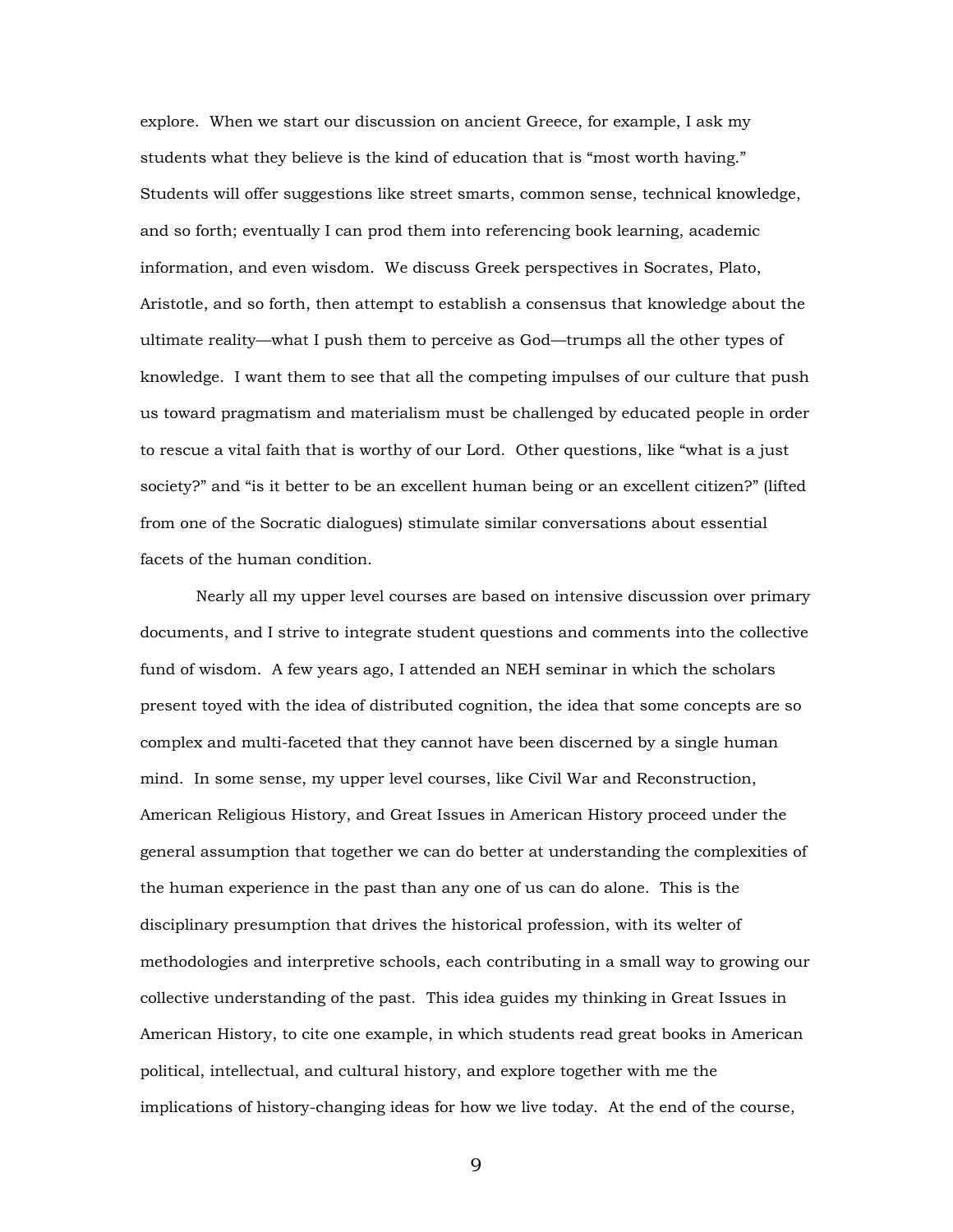explore. When we start our discussion on ancient Greece, for example, I ask my students what they believe is the kind of education that is "most worth having." Students will offer suggestions like street smarts, common sense, technical knowledge, and so forth; eventually I can prod them into referencing book learning, academic information, and even wisdom. We discuss Greek perspectives in Socrates, Plato, Aristotle, and so forth, then attempt to establish a consensus that knowledge about the ultimate reality—what I push them to perceive as God—trumps all the other types of knowledge. I want them to see that all the competing impulses of our culture that push us toward pragmatism and materialism must be challenged by educated people in order to rescue a vital faith that is worthy of our Lord. Other questions, like "what is a just society?" and "is it better to be an excellent human being or an excellent citizen?" (lifted from one of the Socratic dialogues) stimulate similar conversations about essential facets of the human condition.

Nearly all my upper level courses are based on intensive discussion over primary documents, and I strive to integrate student questions and comments into the collective fund of wisdom. A few years ago, I attended an NEH seminar in which the scholars present toyed with the idea of distributed cognition, the idea that some concepts are so complex and multi-faceted that they cannot have been discerned by a single human mind. In some sense, my upper level courses, like Civil War and Reconstruction, American Religious History, and Great Issues in American History proceed under the general assumption that together we can do better at understanding the complexities of the human experience in the past than any one of us can do alone. This is the disciplinary presumption that drives the historical profession, with its welter of methodologies and interpretive schools, each contributing in a small way to growing our collective understanding of the past. This idea guides my thinking in Great Issues in American History, to cite one example, in which students read great books in American political, intellectual, and cultural history, and explore together with me the implications of history-changing ideas for how we live today. At the end of the course,

9